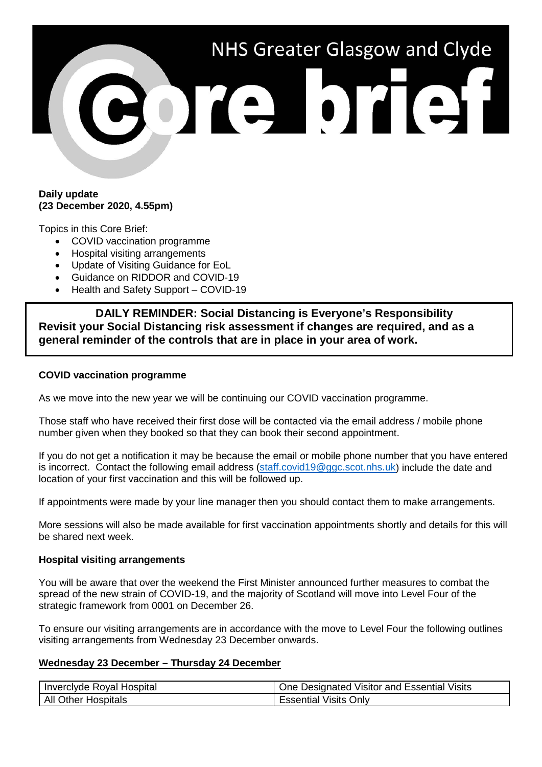# NHS Greater Glasgow and Clyde bre brief

### **Daily update (23 December 2020, 4.55pm)**

Topics in this Core Brief:

- COVID vaccination programme
- Hospital visiting arrangements
- Update of Visiting Guidance for EoL
- Guidance on RIDDOR and COVID-19
- Health and Safety Support COVID-19

**DAILY REMINDER: Social Distancing is Everyone's Responsibility Revisit your Social Distancing risk assessment if changes are required, and as a general reminder of the controls that are in place in your area of work.**

### **COVID vaccination programme**

As we move into the new year we will be continuing our COVID vaccination programme.

Those staff who have received their first dose will be contacted via the email address / mobile phone number given when they booked so that they can book their second appointment.

If you do not get a notification it may be because the email or mobile phone number that you have entered is incorrect. Contact the following email address [\(staff.covid19@ggc.scot.nhs.uk\)](mailto:staff.covid19@ggc.scot.nhs.uk) include the date and location of your first vaccination and this will be followed up.

If appointments were made by your line manager then you should contact them to make arrangements.

More sessions will also be made available for first vaccination appointments shortly and details for this will be shared next week.

### **Hospital visiting arrangements**

You will be aware that over the weekend the First Minister announced further measures to combat the spread of the new strain of COVID-19, and the majority of Scotland will move into Level Four of the strategic framework from 0001 on December 26.

To ensure our visiting arrangements are in accordance with the move to Level Four the following outlines visiting arrangements from Wednesday 23 December onwards.

### **Wednesday 23 December – Thursday 24 December**

| l Inverclyde Royal Hospital | One Designated Visitor and Essential Visits |
|-----------------------------|---------------------------------------------|
| All Other Hospitals         | <b>Essential Visits Only</b>                |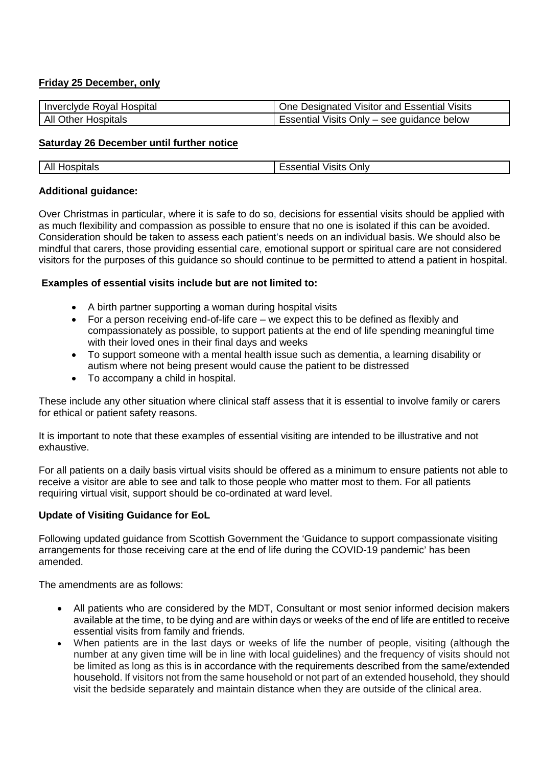# **Friday 25 December, only**

| Inverclyde Royal Hospital | <b>I</b> One Designated Visitor and Essential Visits |
|---------------------------|------------------------------------------------------|
| All Other Hospitals       | Essential Visits Only – see guidance below           |

### **Saturday 26 December until further notice**

| spitals<br>nc<br>Ali<br>טר | $\sim$<br><b>Jnly</b><br>,,,,,,<br>י וסוי.<br>ווסר<br>- 99 |
|----------------------------|------------------------------------------------------------|

## **Additional guidance:**

Over Christmas in particular, where it is safe to do so, decisions for essential visits should be applied with as much flexibility and compassion as possible to ensure that no one is isolated if this can be avoided. Consideration should be taken to assess each patient's needs on an individual basis. We should also be mindful that carers, those providing essential care, emotional support or spiritual care are not considered visitors for the purposes of this guidance so should continue to be permitted to attend a patient in hospital.

### **Examples of essential visits include but are not limited to:**

- A birth partner supporting a woman during hospital visits
- For a person receiving end-of-life care we expect this to be defined as flexibly and compassionately as possible, to support patients at the end of life spending meaningful time with their loved ones in their final days and weeks
- To support someone with a mental health issue such as dementia, a learning disability or autism where not being present would cause the patient to be distressed
- To accompany a child in hospital.

These include any other situation where clinical staff assess that it is essential to involve family or carers for ethical or patient safety reasons.

It is important to note that these examples of essential visiting are intended to be illustrative and not exhaustive.

For all patients on a daily basis virtual visits should be offered as a minimum to ensure patients not able to receive a visitor are able to see and talk to those people who matter most to them. For all patients requiring virtual visit, support should be co-ordinated at ward level.

# **Update of Visiting Guidance for EoL**

Following updated guidance from Scottish Government the 'Guidance to support compassionate visiting arrangements for those receiving care at the end of life during the COVID-19 pandemic' has been amended.

The amendments are as follows:

- All patients who are considered by the MDT, Consultant or most senior informed decision makers available at the time, to be dying and are within days or weeks of the end of life are entitled to receive essential visits from family and friends.
- When patients are in the last days or weeks of life the number of people, visiting (although the number at any given time will be in line with local guidelines) and the frequency of visits should not be limited as long as this is in accordance with the requirements described from the same/extended household. If visitors not from the same household or not part of an extended household, they should visit the bedside separately and maintain distance when they are outside of the clinical area.